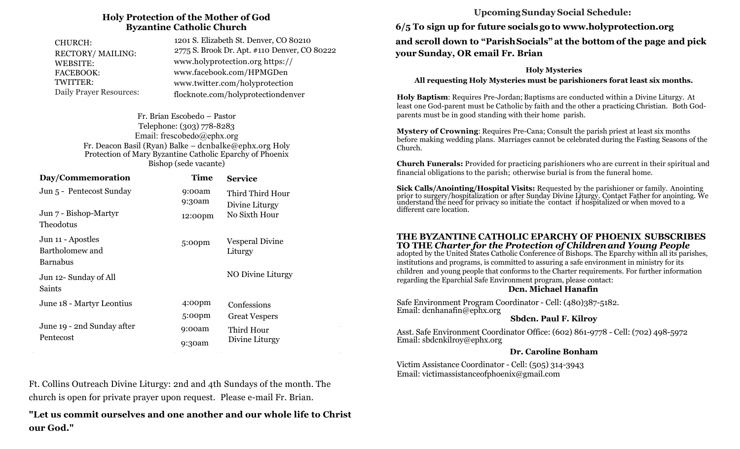#### **Holy Protection of the Mother of God Byzantine Catholic Church**

| CHURCH:<br>RECTORY/MAILING:    | 1201 S. Elizabeth St. Denver, CO 80210<br>2775 S. Brook Dr. Apt. #110 Denver, CO 80222 |  |
|--------------------------------|----------------------------------------------------------------------------------------|--|
| WEBSITE:                       | www.holyprotection.org https://                                                        |  |
| <b>FACEBOOK:</b>               | www.facebook.com/HPMGDen                                                               |  |
| TWITTER:                       | www.twitter.com/holyprotection                                                         |  |
| <b>Daily Prayer Resources:</b> | flocknote.com/holyprotectiondenver                                                     |  |

Fr. Brian Escobedo – Pastor Telephone: (303) 778-8283 Email: frescobedo@ephx.org Fr. Deacon Basil (Ryan) Balke – dcnbalke@ephx.org Holy Protection of Mary Byzantine Catholic Eparchy of Phoenix Bishop (sede vacante)

| Day/Commemoration                                       | <b>Time</b>        | <b>Service</b>                                      |  |
|---------------------------------------------------------|--------------------|-----------------------------------------------------|--|
| Jun 5 - Pentecost Sunday                                | 9:00am<br>9:30am   | Third Third Hour<br>Divine Liturgy<br>No Sixth Hour |  |
| Jun 7 - Bishop-Martyr<br><b>Theodotus</b>               | 12:00pm            |                                                     |  |
| Jun 11 - Apostles<br>Bartholomew and<br><b>Barnabus</b> | 5:00pm             | <b>Vesperal Divine</b><br>Liturgy                   |  |
| Jun 12- Sunday of All<br>Saints                         |                    | NO Divine Liturgy                                   |  |
| June 18 - Martyr Leontius                               | 4:00 <sub>pm</sub> | Confessions                                         |  |
|                                                         | 5:00 <sub>pm</sub> | <b>Great Vespers</b>                                |  |
| June 19 - 2nd Sunday after                              | 9:00am             | Third Hour                                          |  |
| Pentecost                                               | 9:30am             | Divine Liturgy                                      |  |

Ft. Collins Outreach Divine Liturgy: 2nd and 4th Sundays of the month. The church is open for private prayer upon request. Please e-mail Fr. Brian.

**"Let us commit ourselves and one another and our whole life to Christ our God."**

## **Upcoming Sunday Social Schedule:**

**6/5 To sign up for future socials go to www.holyprotection.org and scroll down to "Parish Socials" at the bottom of the page and pick your Sunday, OR email Fr. Brian** 

**Holy Mysteries** 

**All requesting Holy Mysteries must be parishioners forat least six months.** 

**Holy Baptism**: Requires Pre-Jordan; Baptisms are conducted within a Divine Liturgy. At least one God-parent must be Catholic by faith and the other a practicing Christian. Both G0dparents must be in good standing with their home parish.

**Mystery of Crowning**: Requires Pre-Cana; Consult the parish priest at least six months before making wedding plans. Marriages cannot be celebrated during the Fasting Seasons of the Church.

**Church Funerals:** Provided for practicing parishioners who are current in their spiritual and financial obligations to the parish; otherwise burial is from the funeral home.

**Sick Calls/Anointing/Hospital Visits:** Requested by the parishioner or family. Anointing prior to surgery/hospitalization or after Sunday Divine Liturgy. Contact Father for anointing. We understand the need for privacy so initiate the contact if hospitalized or when moved to a different care location.

#### **THE BYZANTINE CATHOLIC EPARCHY OF PHOENIX SUBSCRIBES TO THE** *Charter for the Protection of Childrenand Young People*

adopted by the United States Catholic Conference of Bishops. The Eparchy within all its parishes, institutions and programs, is committed to assuring a safe environment in ministry for its children and young people that conforms to the Charter requirements. For further information regarding the Eparchial Safe Environment program, please contact:

#### **Dcn. Michael Hanafin**

Safe Environment Program Coordinator - Cell: (480)387-5182. Email: dcnhanafin@ephx.org

#### **Sbdcn. Paul F. Kilroy**

Asst. Safe Environment Coordinator Office: (602) 861-9778 - Cell: (702) 498-5972 Email: sbdcnkilroy@ephx.org

#### **Dr. Caroline Bonham**

Victim Assistance Coordinator - Cell: (505) 314-3943 Email: victimassistanceofphoenix@gmail.com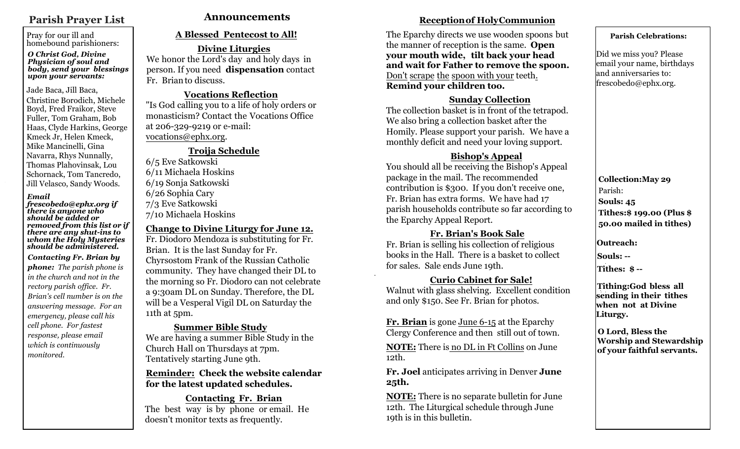# **Parish Prayer List**

Pray for our ill and homebound parishioners:

#### *O Christ God, Divine Physician of soul and body, send your blessings upon your servants:*

#### Jade Baca, Jill Baca,

Christine Borodich, Michele Boyd, Fred Fraikor, Steve Fuller, Tom Graham, Bob Haas, Clyde Harkins, George Kmeck Jr, Helen Kmeck, Mike Mancinelli, Gina Navarra, Rhys Nunnally, Thomas Plahovinsak, Lou Schornack, Tom Tancredo, Jill Velasco, Sandy Woods.

#### *Email*

*frescobedo@ephx.org if there is anyone who should be added or removed from this list or if there are any shut-ins to whom the Holy Mysteries should be administered.*

*Contacting Fr. Brian by phone: The parish phone is in the church and not in the rectory parish office. Fr. Brian's cell number is on the answering message. For an emergency, please call his cell phone. For fastest response, please email which is continuously monitored.* 

## **A Blessed Pentecost to All!**

**Divine Liturgies** We honor the Lord's day and holy days in person. If you need **dispensation** contact Fr. Brianto discuss.

#### **Vocations Reflection**

"Is God calling you to a life of holy orders or monasticism? Contact the Vocations Office at 206-329-9219 or e-mail: vocations@ephx.org.

## **Troija Schedule**

6/5 Eve Satkowski 6/11 Michaela Hoskins 6/19 Sonja Satkowski 6/26 Sophia Cary 7/3 Eve Satkowski 7/10 Michaela Hoskins

#### **Change to Divine Liturgy for June 12.**

Fr. Diodoro Mendoza is substituting for Fr. Brian. It is the last Sunday for Fr. Chyrsostom Frank of the Russian Catholic community. They have changed their DL to the morning so Fr. Diodoro can not celebrate a 9:30am DL on Sunday. Therefore, the DL will be a Vesperal Vigil DL on Saturday the 11th at 5pm.

#### **Summer Bible Study**

We are having a summer Bible Study in the Church Hall on Thursdays at 7pm. Tentatively starting June 9th.

#### **Reminder: Check the website calendar for the latest updated schedules.**

#### **Contacting Fr. Brian**

The best way is by phone or email. He doesn't monitor texts as frequently.

# Announcements *Receptionof HolyCommunion*

The Eparchy directs we use wooden spoons but the manner of reception is the same. **Open your mouth wide, tilt back your head and wait for Father to remove the spoon.**  Don't scrape the spoon with your teeth. **Remind your children too.** 

### **Sunday Collection**

The collection basket is in front of the tetrapod. We also bring a collection basket after the Homily. Please support your parish. We have a monthly deficit and need your loving support.

## **Bishop's Appeal**

You should all be receiving the Bishop's Appeal package in the mail. The recommended contribution is \$300. If you don't receive one, Fr. Brian has extra forms. We have had 17 parish households contribute so far according to the Eparchy Appeal Report.

#### **Fr. Brian's Book Sale** Fr. Brian is selling his collection of religious books in the Hall. There is a basket to collect for sales. Sale ends June 19th.

## **Curio Cabinet for Sale!**

Walnut with glass shelving. Excellent condition and only \$150. See Fr. Brian for photos.

**Fr. Brian** is gone June 6-15 at the Eparchy Clergy Conference and then still out of town.

**NOTE:** There is no DL in Ft Collins on June 12th.

**Fr. Joel** anticipates arriving in Denver **June 25th.**

**NOTE:** There is no separate bulletin for June 12th. The Liturgical schedule through June 19th is in this bulletin.

#### **Parish Celebrations:**

Did we miss you? Please email your name, birthdays and anniversaries to: frescobedo@ephx.org.

**Collection:May 29** Parish: **Souls: 45 Tithes:\$ 199.00 (Plus \$ 50.00 mailed in tithes)**

**Outreach:** 

**Souls: --**

**Tithes: \$ --**

**Tithing:God bless all sending in their tithes when not at Divine Liturgy.** 

**O Lord, Bless the Worship and Stewardship of your faithful servants.**